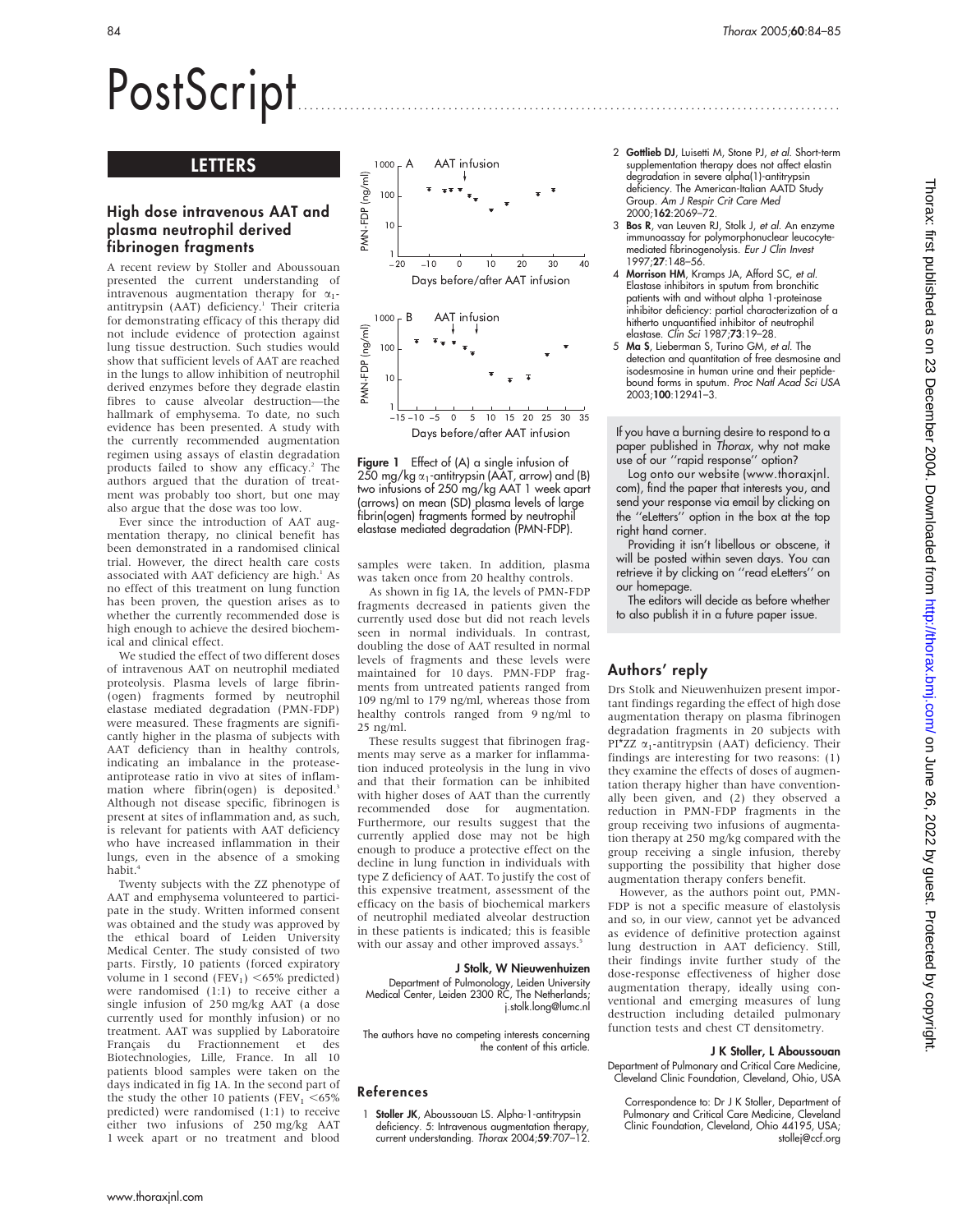# PostScript ..............................................................................................

# LETTERS

## High dose intravenous AAT and plasma neutrophil derived fibrinogen fragments

A recent review by Stoller and Aboussouan presented the current understanding of intravenous augmentation therapy for  $\alpha_1$ antitrypsin (AAT) deficiency.<sup>1</sup> Their criteria for demonstrating efficacy of this therapy did not include evidence of protection against lung tissue destruction. Such studies would show that sufficient levels of AAT are reached in the lungs to allow inhibition of neutrophil derived enzymes before they degrade elastin fibres to cause alveolar destruction—the hallmark of emphysema. To date, no such evidence has been presented. A study with the currently recommended augmentation regimen using assays of elastin degradation products failed to show any efficacy.<sup>2</sup> The authors argued that the duration of treatment was probably too short, but one may also argue that the dose was too low.

Ever since the introduction of AAT augmentation therapy, no clinical benefit has been demonstrated in a randomised clinical trial. However, the direct health care costs associated with AAT deficiency are high.<sup>1</sup> As no effect of this treatment on lung function has been proven, the question arises as to whether the currently recommended dose is high enough to achieve the desired biochemical and clinical effect.

We studied the effect of two different doses of intravenous AAT on neutrophil mediated proteolysis. Plasma levels of large fibrin- (ogen) fragments formed by neutrophil elastase mediated degradation (PMN-FDP) were measured. These fragments are significantly higher in the plasma of subjects with AAT deficiency than in healthy controls, indicating an imbalance in the proteaseantiprotease ratio in vivo at sites of inflammation where fibrin(ogen) is deposited.<sup>3</sup> Although not disease specific, fibrinogen is present at sites of inflammation and, as such, is relevant for patients with AAT deficiency who have increased inflammation in their lungs, even in the absence of a smoking habit.4

Twenty subjects with the ZZ phenotype of AAT and emphysema volunteered to participate in the study. Written informed consent was obtained and the study was approved by the ethical board of Leiden University Medical Center. The study consisted of two parts. Firstly, 10 patients (forced expiratory volume in 1 second (FEV<sub>1</sub>) <65% predicted) were randomised (1:1) to receive either a single infusion of 250 mg/kg AAT (a dose currently used for monthly infusion) or no treatment. AAT was supplied by Laboratoire Français du Fractionnement et des Biotechnologies, Lille, France. In all 10 patients blood samples were taken on the days indicated in fig 1A. In the second part of the study the other 10 patients (FEV<sub>1</sub>  $<$ 65%) predicted) were randomised (1:1) to receive either two infusions of 250 mg/kg AAT 1 week apart or no treatment and blood



Figure 1 Effect of (A) a single infusion of 250 mg/kg  $\alpha_1$ -antitrypsin (AAT, arrow) and (B) two infusions of 250 mg/kg AAT 1 week apart (arrows) on mean (SD) plasma levels of large fibrin(ogen) fragments formed by neutrophil elastase mediated degradation (PMN-FDP).

samples were taken. In addition, plasma was taken once from 20 healthy controls.

As shown in fig 1A, the levels of PMN-FDP fragments decreased in patients given the currently used dose but did not reach levels seen in normal individuals. In contrast, doubling the dose of AAT resulted in normal levels of fragments and these levels were maintained for 10 days. PMN-FDP fragments from untreated patients ranged from 109 ng/ml to 179 ng/ml, whereas those from healthy controls ranged from 9 ng/ml to 25 ng/ml.

These results suggest that fibrinogen fragments may serve as a marker for inflammation induced proteolysis in the lung in vivo and that their formation can be inhibited with higher doses of AAT than the currently recommended dose for augmentation. Furthermore, our results suggest that the currently applied dose may not be high enough to produce a protective effect on the decline in lung function in individuals with type Z deficiency of AAT. To justify the cost of this expensive treatment, assessment of the efficacy on the basis of biochemical markers of neutrophil mediated alveolar destruction in these patients is indicated; this is feasible with our assay and other improved assays.<sup>5</sup>

## J Stolk, W Nieuwenhuizen

Department of Pulmonology, Leiden University Medical Center, Leiden 2300 RC, The Netherlands; j.stolk.long@lumc.nl

The authors have no competing interests concerning the content of this article.

## References

1 Stoller JK, Aboussouan LS. Alpha-1-antitrypsin deficiency. 5: Intravenous augmentation therapy, current understanding. Thorax 2004;59:707–12.

- 2 Gottlieb DJ, Luisetti M, Stone PJ, et al. Short-term supplementation therapy does not affect elastin degradation in severe alpha(1)-antitrypsin deficiency. The American-Italian AATD Study Group. Am J Respir Crit Care Med 2000;162:2069–72.
- 3 Bos R, van Leuven RJ, Stolk J, et al. An enzyme immunoassay for polymorphonuclear leucocytemediated fibrinogenolysis. Eur J Clin Invest 1997;27:148–56.
- 4 Morrison HM, Kramps JA, Afford SC, et al. Elastase inhibitors in sputum from bronchitic patients with and without alpha 1-proteinase inhibitor deficiency: partial characterization of a hitherto unquantified inhibitor of neutrophil elastase. Clin Sci 1987;73:19–28.
- 5 Ma S, Lieberman S, Turino GM, et al. The detection and quantitation of free desmosine and isodesmosine in human urine and their peptide-<br>bound forms in sputum. *Proc Natl Acad Sci USA* 2003;100:12941–3.

If you have a burning desire to respond to a paper published in Thorax, why not make use of our ''rapid response'' option?

Log onto our website (www.thoraxjnl. com), find the paper that interests you, and send your response via email by clicking on the ''eLetters'' option in the box at the top right hand corner.

Providing it isn't libellous or obscene, it will be posted within seven days. You can retrieve it by clicking on ''read eLetters'' on our homepage.

The editors will decide as before whether to also publish it in a future paper issue.

# Authors' reply

Drs Stolk and Nieuwenhuizen present important findings regarding the effect of high dose augmentation therapy on plasma fibrinogen degradation fragments in 20 subjects with PI\*ZZ  $\alpha_1$ -antitrypsin (AAT) deficiency. Their findings are interesting for two reasons: (1) they examine the effects of doses of augmentation therapy higher than have conventionally been given, and (2) they observed a reduction in PMN-FDP fragments in the group receiving two infusions of augmentation therapy at 250 mg/kg compared with the group receiving a single infusion, thereby supporting the possibility that higher dose augmentation therapy confers benefit.

However, as the authors point out, PMN-FDP is not a specific measure of elastolysis and so, in our view, cannot yet be advanced as evidence of definitive protection against lung destruction in AAT deficiency. Still, their findings invite further study of the dose-response effectiveness of higher dose augmentation therapy, ideally using conventional and emerging measures of lung destruction including detailed pulmonary function tests and chest CT densitometry.

#### J K Stoller, L Aboussouan

Department of Pulmonary and Critical Care Medicine, Cleveland Clinic Foundation, Cleveland, Ohio, USA

Correspondence to: Dr J K Stoller, Department of Pulmonary and Critical Care Medicine, Cleveland Clinic Foundation, Cleveland, Ohio 44195, USA; stollej@ccf.org